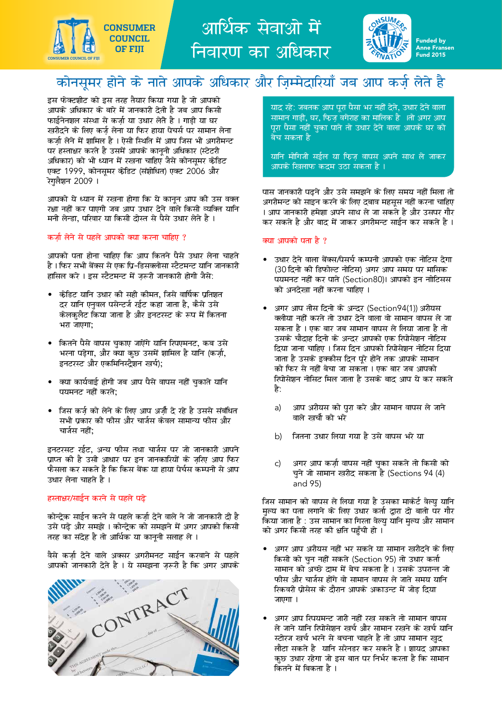

आर्थिक सेवाओं में निवारण का अधिकार



# कोनसूमर होने के नाते आपके अधिकार और ज़िम्मेदारियाँ जब आप कर्ज़ लेते है

इस फेक्टशीट को इस तरह तैयार किया गया है जो आपको आपके अधिकार के बारे में जानकारी देती है जब आप किसी फाईनेनशल संस्था से कर्ज़ा या उधार लेते है । गाड़ी या घर खरीदने के लिए कर्ज़ लेना या फिर हाया पेचर्स पर सामान लेना कर्ज़ा लेने में शामिल है । ऐसी स्थिति में आप जिस भी अगरीमन्ट पर हस्ताक्षर करते है उसमें आपके कानूनी अधिकार (स्टेटरी अधिकार) को भी ध्यान में रखना चाहिए जैसे कोनसूमर केडिट एक्ट 1999, कोनसुमर केडिट (संशोधित) एक्ट 2006 और रेगलैशन 2009 ।

आपको ये ध्यान में रखना होगा कि ये कानन आप की उस वक्त रक्षा नहीं कर पाएगी जब आप उधार देने वाले किसी व्यक्ति यानि मनी लेन्डा. परिवार या किसी दोस्त से पैसे उधार लेते है ।

#### कर्जा लेने से पहले आपको क्या करना चाहिए ?

आपको पता होना चाहिए कि आप कितने पैसे उधार लेना चाहते है । फिर सभी बेंक्स से एक प्रि-डिसक्लोसा स्टैटमन्ट यानि जानकारी हासिल करे । इस स्टैटमन्ट में ज़रूरी जानकारी होगी जैसे:

- केंडिट यानि उधार की सही कीमत, जिसे वार्षिक प्रतिशत दर यानि एनुवल पसेन्टर्ज रईट कहा जाता है, कैसे उसे केलकुलैट किया जाता है और इनटरस्ट के रूप में कितना भरा जाएगा:
- कितने पैसे वापस चुकाए जाऐंगे यानि रिपएमनट, कब उसे भरना पड़ेगा, और क्या कुछ उसमें शामिल है यानि (कर्ज़ा, इनटरस्ट और एकमिनिस्ट्रैशन खर्च);
- क्या कार्यवाई होगी जब आप पैसे वापस नहीं चुकाते यानि पयमनट नहीं करते;
- जिस कर्ज को लेने के लिए आप अर्जी दे रहे है उससे संबंधित सभी पकार की फीस और चार्जस केवल सामान्य फीस और चार्जस नहीं;

इनटरसट रईट, अन्य फीस तथा चार्जस पर जो जानकारी आपने प्राप्त की है उसी आधार पर इन जानकारियों के ज़रिए आप फिर फैसला कर सकते है कि किस बेंक या हाया पेर्चस कम्पनी से आप उधार लेना चाहते है ।

#### हस्ताक्षर/साईन करने से पहले पढे

कोन्देक साईन करने से पहले कर्जा देने वाले ने जो जानकारी दी है उसे पढे और समझे । कोन्टेक को समझने में अगर आपको किसी तरह का संदेह है तो आर्थिक या काननी सलाह ले ।

वैसे कर्जा देने वाले अक्सर अगरीमनट साईन करवाने से पहले आपको जानकारी देते है । ये समझना ज़रूरी है कि अगर आपके



याद रहे: जबतक आप पूरा पैसा भर नहीं देते, उधार देने वाला सामान गाडी, घर, फिज वगेराह का मालिक है ।तो अगर आप परा पैसा नहीं चका पाते तो उधार देने वाला आपके घर को बेच सकता है

<u>यानि मोगिजी सईल या फिज़ वापस अपने साथ ले जाकर।</u> आपके खिलाफ कटम उठा सकता है ।

पास जानकारी पढ़ने और उसे समझने के लिए समय नहीं मिला तो अगरीमन्ट को साइन करने के लिए दबाव महसूस नहीं करना चाहिए । आप जानकारी हमेशा अपने साथ ले जा सकते है और उसपर गौर कर सकते है और बाद में जाकर अगरीमन्ट साईन कर सकते है ।

# क्या आपको पता है ?

- उधार देने वाला बेंक्स/पेसर्च कम्पनी आपको एक नोटिस देगा (30 दिनो की डिफोल्ट नोटिस) अगर आप समय पर मासिक पयमनट नहीं कर पाते (Section80)। आपको इन नोटिसस को अनदेखा नहीं करना चाहिए ।
- अगर आप तीस दिनो के अन्दर (Section94(1)) अरीयस क्लीया नहीं करते तो उधार देने वाला वो सामान वापस ले जा सकता है । एक बार जब सामान वापस ले लिया जाता है तो उसके चौदाह दिनो के अन्दर आपको एक रिपोसेशन नोटिस दिया जाना चाहिए । जिस दिन आपको रिपोसेशन नोटिस दिया जाता है उसके इक्कीस दिन पूरे होने तक आपके सामान को फिर से नहीं बेचा जा सकता । एक बार जब आपको रिपोसेशन नोसिट मिल जाता है उसके बाद आप ये कर सकते है:
	- आप अरीयस को पुरा करे और सामान वापस ले जाने  $a)$ वाले खर्चा को भरे
	- जितना उधार लिया गया है उसे वापस भरे या b)
	- अगर आप कर्जा वापस नहीं चका सकते तो किसी को  $\mathsf{C}$ चुने जो सामान खरीद सकता है (Sections 94 (4) and 95)

जिस सामान को वापस ले लिया गया है उसका मार्केर्ट वेल्यू यानि मुल्य का पता लगाने के लिए उधार कर्ता द्वारा दो बातो पर गौर किया जाता है : उस सामान का गिरता वेल्यु यानि मुल्य और सामान को अगर किसी तरह की क्षति पहुँची हो ।

- अगर आप अरीयस नहीं भर सकते या सामान खरीदने के लिए किसी को चन नहीं सकते (Section 95) तो उधार कर्ता सामान को अच्छे दाम में बेच सकता है । उसके उपरान्त जो फीस और चार्जस होंगे वो सामान वापस ले जाते समय यानि रिकवरी प्रोसेस के दौरान आपके अकाउन्ट में जोड दिया जाएगा ।
- अगर आप रिपयमन्ट जारी नहीं रख सकते तो सामान वापस ले जाने यानि रिपोसेशन खर्च और सामान रखने के खर्च यानि स्टोरज खर्च भरने से बचना चाहते है तो आप सामान खुद लौटा सकते है यानि सरेनडर कर सकते है । शायद आपका कुछ उधार रहेगा जो इस बात पर निर्भर करता है कि सामान कितने में बिकता है ।